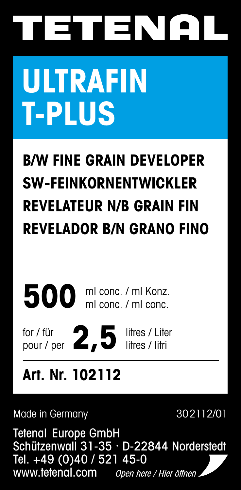# TETENAL

# **ULTRAFIN T-PLUS**

## **B/W FINE GRAIN DEVELOPER SW-FEINKORNENTWICKLER REVELATEUR N/B GRAIN FIN REVELADOR B/N GRANO FINO**

500 ml conc. / ml Konz. ml conc. / ml conc.

for / für for / für<br>pour / per 2,5<sup>litres / Liter</sup>

## **Art. Nr. 102112**

Made in Germany 302112/01

Tetenal Europe GmbH Schützenwall 31-35 · D-22844 Norderstedt Tel. +49 (0)40 / 521 45-0 www.tetenal.com Open here / Hier öffnen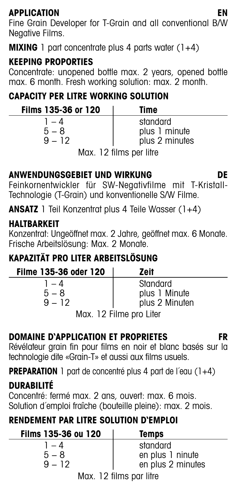**APPLICATION EN** Fine Grain Developer for T-Grain and all conventional B/W Negative Films.

**MIXING** 1 part concentrate plus 4 parts water (1+4)

#### **KEEPING PROPORTIES**

Concentrate: unopened bottle max. 2 years, opened bottle max. 6 month. Fresh working solution: max. 2 month.

### **CAPACITY PER LITRE WORKING SOLUTION**

| Films 135-36 or 120          | Time           |  |  |  |  |
|------------------------------|----------------|--|--|--|--|
| 1 – 4                        | standard       |  |  |  |  |
| $5 - 8$                      | plus 1 minute  |  |  |  |  |
| $9 - 12$                     | plus 2 minutes |  |  |  |  |
| $\mathbf{A} \cap \mathbf{B}$ |                |  |  |  |  |

Max. 12 films per litre

#### **ANWENDUNGSGEBIET UND WIRKUNG DE**

Feinkornentwickler für SW-Negativfilme mit T-Kristall-Technologie (T-Grain) und konventionelle S/W Filme.

**ANSATZ** 1 Teil Konzentrat plus 4 Teile Wasser (1+4)

#### **HALTRARKEIT**

Konzentrat: Ungeöffnet max. 2 Jahre, geöffnet max. 6 Monate. Frische Arbeitslösung: Max. 2 Monate.

#### **KAPAZITÄT PRO LITER ARBEITSLÖSUNG**

| Filme 135-36 oder 120   | Zeit           |  |  |  |  |
|-------------------------|----------------|--|--|--|--|
| 1 – 4                   | Standard       |  |  |  |  |
| $5 - 8$                 | plus 1 Minute  |  |  |  |  |
| $9 - 12$                | plus 2 Minuten |  |  |  |  |
| Max. 12 Filme pro Liter |                |  |  |  |  |

#### **DOMAINE D'APPLICATION ET PROPRIETES FR**

Révélateur grain fin pour films en noir et blanc basés sur la technologie dite «Grain-T» et aussi aux films usuels.

**PREPARATION** 1 part de concentré plus 4 part de l'eau (1+4)

### **DURABILITÉ**

Concentré: fermé max. 2 ans, ouvert: max. 6 mois. Solution d´emploi fraîche (bouteille pleine): max. 2 mois.

#### **RENDEMENT PAR LITRE SOLUTION D'EMPLOI**

| Films 135-36 ou 120     | Temps             |  |  |  |  |
|-------------------------|-------------------|--|--|--|--|
| 1 – 4                   | standard          |  |  |  |  |
| $5 - 8$                 | en plus 1 ninute  |  |  |  |  |
| $9 - 12$                | en plus 2 minutes |  |  |  |  |
| Max. 12 films par litre |                   |  |  |  |  |